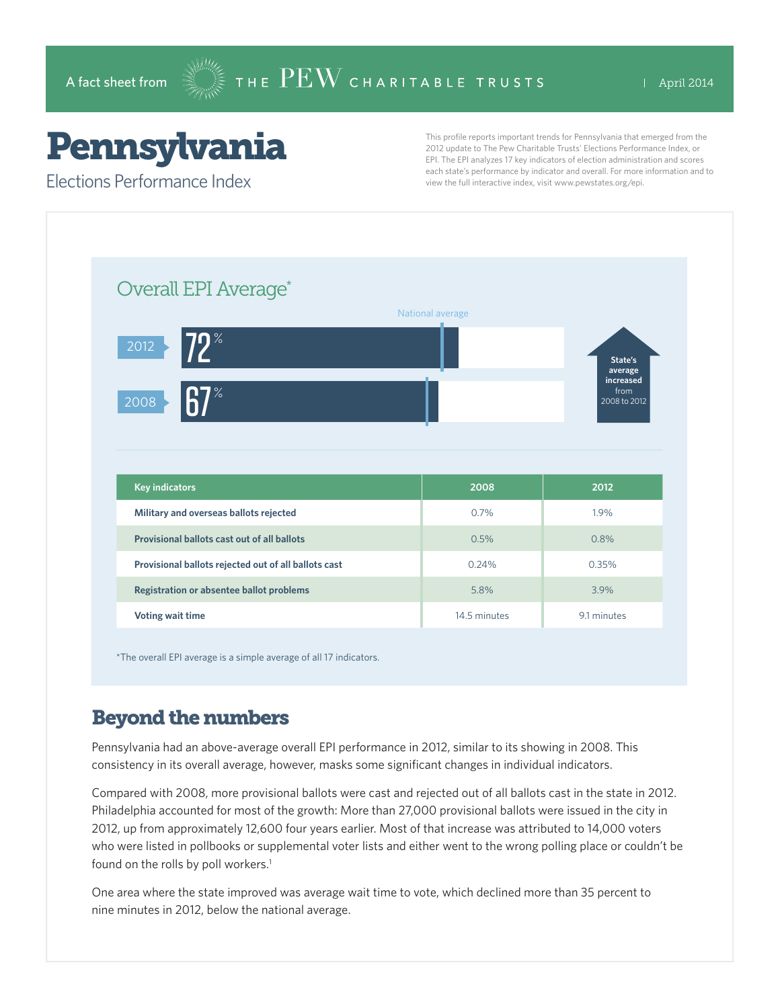# Pennsylvania

Elections Performance Index

This profile reports important trends for Pennsylvania that emerged from the 2012 update to The Pew Charitable Trusts' Elections Performance Index, or EPI. The EPI analyzes 17 key indicators of election administration and scores each state's performance by indicator and overall. For more information and to view the full interactive index, visit www.pewstates.org/epi.

|                                                      | National average |                                   |
|------------------------------------------------------|------------------|-----------------------------------|
|                                                      |                  |                                   |
| $72^*$<br>$\overline{2012}$<br>$\%$<br>2008          |                  | State's<br>average                |
|                                                      |                  | increased<br>from<br>2008 to 2012 |
|                                                      |                  |                                   |
|                                                      |                  |                                   |
| <b>Key indicators</b>                                | 2008             | 2012                              |
| Military and overseas ballots rejected               | 0.7%             | 1.9%                              |
| Provisional ballots cast out of all ballots          | 0.5%             | 0.8%                              |
|                                                      |                  |                                   |
| Provisional ballots rejected out of all ballots cast | 0.24%            | 0.35%                             |
|                                                      |                  |                                   |

\*The overall EPI average is a simple average of all 17 indicators.

## Beyond the numbers

Pennsylvania had an above-average overall EPI performance in 2012, similar to its showing in 2008. This consistency in its overall average, however, masks some significant changes in individual indicators.

Compared with 2008, more provisional ballots were cast and rejected out of all ballots cast in the state in 2012. Philadelphia accounted for most of the growth: More than 27,000 provisional ballots were issued in the city in 2012, up from approximately 12,600 four years earlier. Most of that increase was attributed to 14,000 voters who were listed in pollbooks or supplemental voter lists and either went to the wrong polling place or couldn't be found on the rolls by poll workers.<sup>1</sup>

One area where the state improved was average wait time to vote, which declined more than 35 percent to nine minutes in 2012, below the national average.